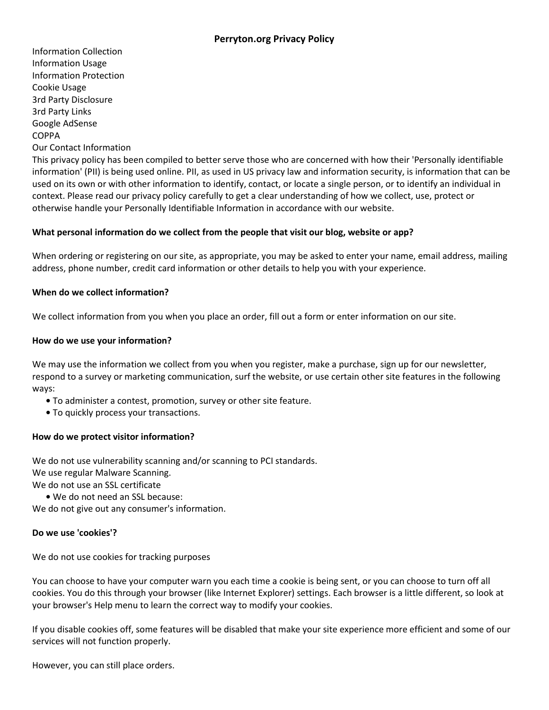Information Collection Information Usage Information Protection Cookie Usage 3rd Party Disclosure 3rd Party Links Google AdSense COPPA Our Contact Information

This privacy policy has been compiled to better serve those who are concerned with how their 'Personally identifiable information' (PII) is being used online. PII, as used in US privacy law and information security, is information that can be used on its own or with other information to identify, contact, or locate a single person, or to identify an individual in context. Please read our privacy policy carefully to get a clear understanding of how we collect, use, protect or otherwise handle your Personally Identifiable Information in accordance with our website.

# **What personal information do we collect from the people that visit our blog, website or app?**

When ordering or registering on our site, as appropriate, you may be asked to enter your name, email address, mailing address, phone number, credit card information or other details to help you with your experience.

## **When do we collect information?**

We collect information from you when you place an order, fill out a form or enter information on our site.

## **How do we use your information?**

We may use the information we collect from you when you register, make a purchase, sign up for our newsletter, respond to a survey or marketing communication, surf the website, or use certain other site features in the following ways:

- **•** To administer a contest, promotion, survey or other site feature.
- **•** To quickly process your transactions.

## **How do we protect visitor information?**

We do not use vulnerability scanning and/or scanning to PCI standards. We use regular Malware Scanning. We do not use an SSL certificate

**•** We do not need an SSL because:

We do not give out any consumer's information.

### **Do we use 'cookies'?**

We do not use cookies for tracking purposes

You can choose to have your computer warn you each time a cookie is being sent, or you can choose to turn off all cookies. You do this through your browser (like Internet Explorer) settings. Each browser is a little different, so look at your browser's Help menu to learn the correct way to modify your cookies.

If you disable cookies off, some features will be disabled that make your site experience more efficient and some of our services will not function properly.

However, you can still place orders.